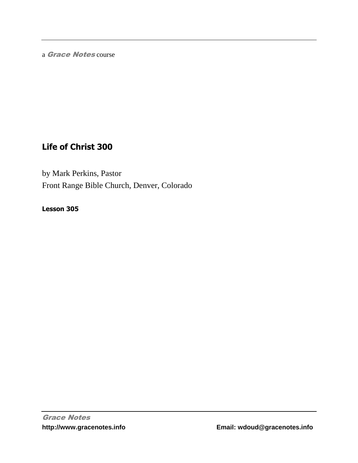a Grace Notes course

# **Life of Christ 300**

by Mark Perkins, Pastor Front Range Bible Church, Denver, Colorado

**Lesson 305**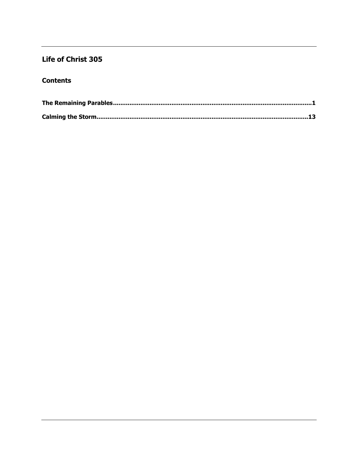## Life of Christ 305

### **Contents**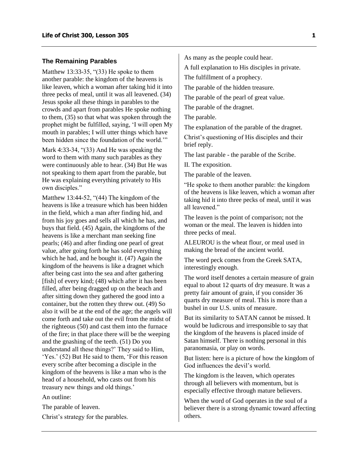#### <span id="page-2-0"></span>**The Remaining Parables**

Matthew 13:33-35, "(33) He spoke to them another parable: the kingdom of the heavens is like leaven, which a woman after taking hid it into three pecks of meal, until it was all leavened. (34) Jesus spoke all these things in parables to the crowds and apart from parables He spoke nothing to them, (35) so that what was spoken through the prophet might be fulfilled, saying, 'I will open My mouth in parables; I will utter things which have been hidden since the foundation of the world.'"

Mark 4:33-34, "(33) And He was speaking the word to them with many such parables as they were continuously able to hear. (34) But He was not speaking to them apart from the parable, but He was explaining everything privately to His own disciples."

Matthew 13:44-52, "(44) The kingdom of the heavens is like a treasure which has been hidden in the field, which a man after finding hid, and from his joy goes and sells all which he has, and buys that field. (45) Again, the kingdoms of the heavens is like a merchant man seeking fine pearls; (46) and after finding one pearl of great value, after going forth he has sold everything which he had, and he bought it. (47) Again the kingdom of the heavens is like a dragnet which after being cast into the sea and after gathering [fish] of every kind; (48) which after it has been filled, after being dragged up on the beach and after sitting down they gathered the good into a container, but the rotten they threw out. (49) So also it will be at the end of the age; the angels will come forth and take out the evil from the midst of the righteous (50) and cast them into the furnace of the fire; in that place there will be the weeping and the gnashing of the teeth. (51) Do you understand all these things?' They said to Him, 'Yes.' (52) But He said to them, 'For this reason every scribe after becoming a disciple in the kingdom of the heavens is like a man who is the head of a household, who casts out from his treasury new things and old things.'

An outline:

The parable of leaven.

Christ's strategy for the parables.

As many as the people could hear.

A full explanation to His disciples in private.

The fulfillment of a prophecy.

The parable of the hidden treasure.

The parable of the pearl of great value.

The parable of the dragnet.

The parable.

The explanation of the parable of the dragnet.

Christ's questioning of His disciples and their brief reply.

The last parable - the parable of the Scribe.

II. The exposition.

The parable of the leaven.

"He spoke to them another parable: the kingdom of the heavens is like leaven, which a woman after taking hid it into three pecks of meal, until it was all leavened"

The leaven is the point of comparison; not the woman or the meal. The leaven is hidden into three pecks of meal.

ALEUROU is the wheat flour, or meal used in making the bread of the ancient world.

The word peck comes from the Greek SATA, interestingly enough.

The word itself denotes a certain measure of grain equal to about 12 quarts of dry measure. It was a pretty fair amount of grain, if you consider 36 quarts dry measure of meal. This is more than a bushel in our U.S. units of measure.

But its similarity to SATAN cannot be missed. It would be ludicrous and irresponsible to say that the kingdom of the heavens is placed inside of Satan himself. There is nothing personal in this paranomasia, or play on words.

But listen: here is a picture of how the kingdom of God influences the devil's world.

The kingdom is the leaven, which operates through all believers with momentum, but is especially effective through mature believers.

When the word of God operates in the soul of a believer there is a strong dynamic toward affecting others.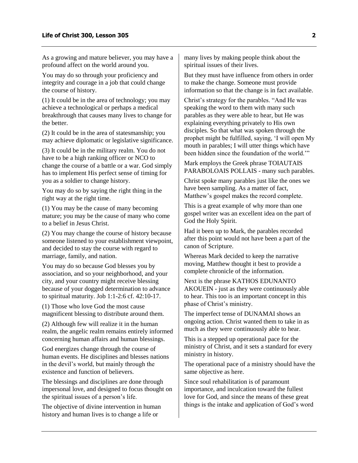As a growing and mature believer, you may have a profound affect on the world around you.

You may do so through your proficiency and integrity and courage in a job that could change the course of history.

(1) It could be in the area of technology; you may achieve a technological or perhaps a medical breakthrough that causes many lives to change for the better.

(2) It could be in the area of statesmanship; you may achieve diplomatic or legislative significance.

(3) It could be in the military realm. You do not have to be a high ranking officer or NCO to change the course of a battle or a war. God simply has to implement His perfect sense of timing for you as a soldier to change history.

You may do so by saying the right thing in the right way at the right time.

(1) You may be the cause of many becoming mature; you may be the cause of many who come to a belief in Jesus Christ.

(2) You may change the course of history because someone listened to your establishment viewpoint, and decided to stay the course with regard to marriage, family, and nation.

You may do so because God blesses you by association, and so your neighborhood, and your city, and your country might receive blessing because of your dogged determination to advance to spiritual maturity. Job 1:1-2:6 cf. 42:10-17.

(1) Those who love God the most cause magnificent blessing to distribute around them.

(2) Although few will realize it in the human realm, the angelic realm remains entirely informed concerning human affairs and human blessings.

God energizes change through the course of human events. He disciplines and blesses nations in the devil's world, but mainly through the existence and function of believers.

The blessings and disciplines are done through impersonal love, and designed to focus thought on the spiritual issues of a person's life.

The objective of divine intervention in human history and human lives is to change a life or

many lives by making people think about the spiritual issues of their lives.

But they must have influence from others in order to make the change. Someone must provide information so that the change is in fact available.

Christ's strategy for the parables. "And He was speaking the word to them with many such parables as they were able to hear, but He was explaining everything privately to His own disciples. So that what was spoken through the prophet might be fulfilled, saying, 'I will open My mouth in parables; I will utter things which have been hidden since the foundation of the world.'"

Mark employs the Greek phrase TOIAUTAIS PARABOLOAIS POLLAIS - many such parables.

Christ spoke many parables just like the ones we have been sampling. As a matter of fact, Matthew's gospel makes the record complete.

This is a great example of why more than one gospel writer was an excellent idea on the part of God the Holy Spirit.

Had it been up to Mark, the parables recorded after this point would not have been a part of the canon of Scripture.

Whereas Mark decided to keep the narrative moving, Matthew thought it best to provide a complete chronicle of the information.

Next is the phrase KATHOS EDUNANTO AKOUEIN - just as they were continuously able to hear. This too is an important concept in this phase of Christ's ministry.

The imperfect tense of DUNAMAI shows an ongoing action. Christ wanted them to take in as much as they were continuously able to hear.

This is a stepped up operational pace for the ministry of Christ, and it sets a standard for every ministry in history.

The operational pace of a ministry should have the same objective as here.

Since soul rehabilitation is of paramount importance, and inculcation toward the fullest love for God, and since the means of these great things is the intake and application of God's word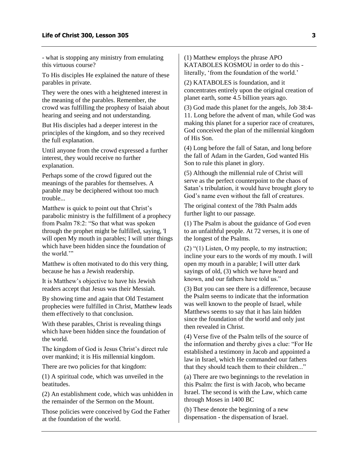- what is stopping any ministry from emulating this virtuous course?

To His disciples He explained the nature of these parables in private.

They were the ones with a heightened interest in the meaning of the parables. Remember, the crowd was fulfilling the prophesy of Isaiah about hearing and seeing and not understanding.

But His disciples had a deeper interest in the principles of the kingdom, and so they received the full explanation.

Until anyone from the crowd expressed a further interest, they would receive no further explanation.

Perhaps some of the crowd figured out the meanings of the parables for themselves. A parable may be deciphered without too much trouble...

Matthew is quick to point out that Christ's parabolic ministry is the fulfillment of a prophecy from Psalm 78:2: "So that what was spoken through the prophet might be fulfilled, saying, 'I will open My mouth in parables; I will utter things which have been hidden since the foundation of the world."

Matthew is often motivated to do this very thing, because he has a Jewish readership.

It is Matthew's objective to have his Jewish readers accept that Jesus was their Messiah.

By showing time and again that Old Testament prophecies were fulfilled in Christ, Matthew leads them effectively to that conclusion.

With these parables, Christ is revealing things which have been hidden since the foundation of the world.

The kingdom of God is Jesus Christ's direct rule over mankind; it is His millennial kingdom.

There are two policies for that kingdom:

(1) A spiritual code, which was unveiled in the beatitudes.

(2) An establishment code, which was unhidden in the remainder of the Sermon on the Mount.

Those policies were conceived by God the Father at the foundation of the world.

(1) Matthew employs the phrase APO KATABOLES KOSMOU in order to do this literally, 'from the foundation of the world.'

(2) KATABOLES is foundation, and it concentrates entirely upon the original creation of planet earth, some 4.5 billion years ago.

(3) God made this planet for the angels, Job 38:4- 11. Long before the advent of man, while God was making this planet for a superior race of creatures, God conceived the plan of the millennial kingdom of His Son.

(4) Long before the fall of Satan, and long before the fall of Adam in the Garden, God wanted His Son to rule this planet in glory.

(5) Although the millennial rule of Christ will serve as the perfect counterpoint to the chaos of Satan's tribulation, it would have brought glory to God's name even without the fall of creatures.

The original context of the 78th Psalm adds further light to our passage.

(1) The Psalm is about the guidance of God even to an unfaithful people. At 72 verses, it is one of the longest of the Psalms.

(2) "(1) Listen, O my people, to my instruction; incline your ears to the words of my mouth. I will open my mouth in a parable; I will utter dark sayings of old, (3) which we have heard and known, and our fathers have told us."

(3) But you can see there is a difference, because the Psalm seems to indicate that the information was well known to the people of Israel, while Matthews seems to say that it has lain hidden since the foundation of the world and only just then revealed in Christ.

(4) Verse five of the Psalm tells of the source of the information and thereby gives a clue: "For He established a testimony in Jacob and appointed a law in Israel, which He commanded our fathers that they should teach them to their children..."

(a) There are two beginnings to the revelation in this Psalm: the first is with Jacob, who became Israel. The second is with the Law, which came through Moses in 1400 BC

(b) These denote the beginning of a new dispensation - the dispensation of Israel.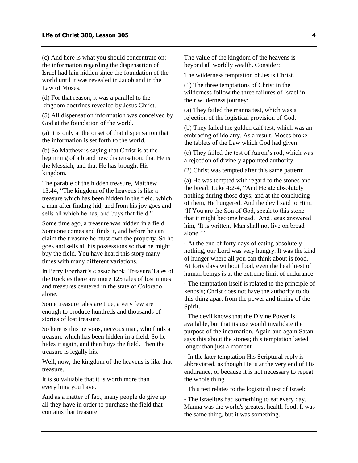(c) And here is what you should concentrate on: the information regarding the dispensation of Israel had lain hidden since the foundation of the world until it was revealed in Jacob and in the Law of Moses.

(d) For that reason, it was a parallel to the kingdom doctrines revealed by Jesus Christ.

(5) All dispensation information was conceived by God at the foundation of the world.

(a) It is only at the onset of that dispensation that the information is set forth to the world.

(b) So Matthew is saying that Christ is at the beginning of a brand new dispensation; that He is the Messiah, and that He has brought His kingdom.

The parable of the hidden treasure, Matthew 13:44, "The kingdom of the heavens is like a treasure which has been hidden in the field, which a man after finding hid, and from his joy goes and sells all which he has, and buys that field."

Some time ago, a treasure was hidden in a field. Someone comes and finds it, and before he can claim the treasure he must own the property. So he goes and sells all his possessions so that he might buy the field. You have heard this story many times with many different variations.

In Perry Eberhart's classic book, Treasure Tales of the Rockies there are more 125 tales of lost mines and treasures centered in the state of Colorado alone.

Some treasure tales are true, a very few are enough to produce hundreds and thousands of stories of lost treasure.

So here is this nervous, nervous man, who finds a treasure which has been hidden in a field. So he hides it again, and then buys the field. Then the treasure is legally his.

Well, now, the kingdom of the heavens is like that treasure.

It is so valuable that it is worth more than everything you have.

And as a matter of fact, many people do give up all they have in order to purchase the field that contains that treasure.

The value of the kingdom of the heavens is beyond all worldly wealth. Consider:

The wilderness temptation of Jesus Christ.

(1) The three temptations of Christ in the wilderness follow the three failures of Israel in their wilderness journey:

(a) They failed the manna test, which was a rejection of the logistical provision of God.

(b) They failed the golden calf test, which was an embracing of idolatry. As a result, Moses broke the tablets of the Law which God had given.

(c) They failed the test of Aaron's rod, which was a rejection of divinely appointed authority.

(2) Christ was tempted after this same pattern:

(a) He was tempted with regard to the stones and the bread: Luke 4:2-4, "And He ate absolutely nothing during those days; and at the concluding of them, He hungered. And the devil said to Him, 'If You are the Son of God, speak to this stone that it might become bread.' And Jesus answered him, 'It is written, 'Man shall not live on bread alone<sup>"</sup>

· At the end of forty days of eating absolutely nothing, our Lord was very hungry. It was the kind of hunger where all you can think about is food. At forty days without food, even the healthiest of human beings is at the extreme limit of endurance.

· The temptation itself is related to the principle of kenosis; Christ does not have the authority to do this thing apart from the power and timing of the Spirit.

· The devil knows that the Divine Power is available, but that its use would invalidate the purpose of the incarnation. Again and again Satan says this about the stones; this temptation lasted longer than just a moment.

· In the later temptation His Scriptural reply is abbreviated, as though He is at the very end of His endurance, or because it is not necessary to repeat the whole thing.

· This test relates to the logistical test of Israel:

- The Israelites had something to eat every day. Manna was the world's greatest health food. It was the same thing, but it was something.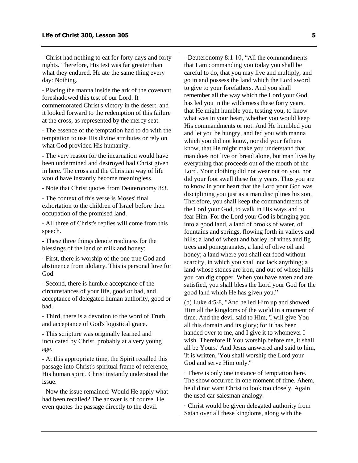- Christ had nothing to eat for forty days and forty nights. Therefore, His test was far greater than what they endured. He ate the same thing every day: Nothing.

- Placing the manna inside the ark of the covenant foreshadowed this test of our Lord. It commemorated Christ's victory in the desert, and it looked forward to the redemption of this failure at the cross, as represented by the mercy seat.

- The essence of the temptation had to do with the temptation to use His divine attributes or rely on what God provided His humanity.

- The very reason for the incarnation would have been undermined and destroyed had Christ given in here. The cross and the Christian way of life would have instantly become meaningless.

- Note that Christ quotes from Deuteronomy 8:3.

- The context of this verse is Moses' final exhortation to the children of Israel before their occupation of the promised land.

- All three of Christ's replies will come from this speech.

- These three things denote readiness for the blessings of the land of milk and honey:

- First, there is worship of the one true God and abstinence from idolatry. This is personal love for God.

- Second, there is humble acceptance of the circumstances of your life, good or bad, and acceptance of delegated human authority, good or bad.

- Third, there is a devotion to the word of Truth, and acceptance of God's logistical grace.

- This scripture was originally learned and inculcated by Christ, probably at a very young age.

- At this appropriate time, the Spirit recalled this passage into Christ's spiritual frame of reference, His human spirit. Christ instantly understood the issue.

- Now the issue remained: Would He apply what had been recalled? The answer is of course. He even quotes the passage directly to the devil.

- Deuteronomy 8:1-10, "All the commandments that I am commanding you today you shall be careful to do, that you may live and multiply, and go in and possess the land which the Lord sword to give to your forefathers. And you shall remember all the way which the Lord your God has led you in the wilderness these forty years, that He might humble you, testing you, to know what was in your heart, whether you would keep His commandments or not. And He humbled you and let you be hungry, and fed you with manna which you did not know, nor did your fathers know, that He might make you understand that man does not live on bread alone, but man lives by everything that proceeds out of the mouth of the Lord. Your clothing did not wear out on you, nor did your foot swell these forty years. Thus you are to know in your heart that the Lord your God was disciplining you just as a man disciplines his son. Therefore, you shall keep the commandments of the Lord your God, to walk in His ways and to fear Him. For the Lord your God is bringing you into a good land, a land of brooks of water, of fountains and springs, flowing forth in valleys and hills; a land of wheat and barley, of vines and fig trees and pomegranates, a land of olive oil and honey; a land where you shall eat food without scarcity, in which you shall not lack anything; a land whose stones are iron, and out of whose hills you can dig copper. When you have eaten and are satisfied, you shall bless the Lord your God for the good land which He has given you."

(b) Luke 4:5-8, "And he led Him up and showed Him all the kingdoms of the world in a moment of time. And the devil said to Him, 'I will give You all this domain and its glory; for it has been handed over to me, and I give it to whomever I wish. Therefore if You worship before me, it shall all be Yours.' And Jesus answered and said to him, 'It is written, 'You shall worship the Lord your God and serve Him only.'"

· There is only one instance of temptation here. The show occurred in one moment of time. Ahem, he did not want Christ to look too closely. Again the used car salesman analogy.

· Christ would be given delegated authority from Satan over all these kingdoms, along with the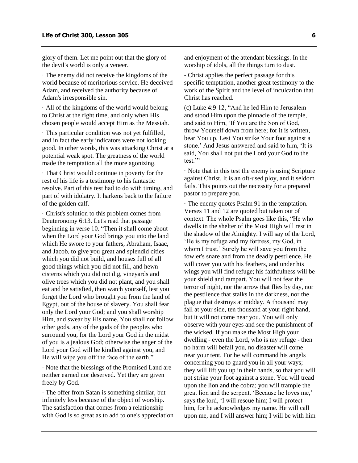glory of them. Let me point out that the glory of the devil's world is only a veneer.

· The enemy did not receive the kingdoms of the world because of meritorious service. He deceived Adam, and received the authority because of Adam's irresponsible sin.

· All of the kingdoms of the world would belong to Christ at the right time, and only when His chosen people would accept Him as the Messiah.

· This particular condition was not yet fulfilled, and in fact the early indicators were not looking good. In other words, this was attacking Christ at a potential weak spot. The greatness of the world made the temptation all the more agonizing.

· That Christ would continue in poverty for the rest of his life is a testimony to his fantastic resolve. Part of this test had to do with timing, and part of with idolatry. It harkens back to the failure of the golden calf.

· Christ's solution to this problem comes from Deuteronomy 6:13. Let's read that passage beginning in verse 10. "Then it shall come about when the Lord your God brings you into the land which He swore to your fathers, Abraham, Isaac, and Jacob, to give you great and splendid cities which you did not build, and houses full of all good things which you did not fill, and hewn cisterns which you did not dig, vineyards and olive trees which you did not plant, and you shall eat and be satisfied, then watch yourself, lest you forget the Lord who brought you from the land of Egypt, out of the house of slavery. You shall fear only the Lord your God; and you shall worship Him, and swear by His name. You shall not follow other gods, any of the gods of the peoples who surround you, for the Lord your God in the midst of you is a jealous God; otherwise the anger of the Lord your God will be kindled against you, and He will wipe you off the face of the earth."

- Note that the blessings of the Promised Land are neither earned nor deserved. Yet they are given freely by God.

- The offer from Satan is something similar, but infinitely less because of the object of worship. The satisfaction that comes from a relationship with God is so great as to add to one's appreciation and enjoyment of the attendant blessings. In the worship of idols, all the things turn to dust.

- Christ applies the perfect passage for this specific temptation, another great testimony to the work of the Spirit and the level of inculcation that Christ has reached.

(c) Luke 4:9-12, "And he led Him to Jerusalem and stood Him upon the pinnacle of the temple, and said to Him, 'If You are the Son of God, throw Yourself down from here; for it is written, bear You up, Lest You strike Your foot against a stone.' And Jesus answered and said to him, 'It is said, You shall not put the Lord your God to the test.'"

· Note that in this test the enemy is using Scripture against Christ. It is an oft-used ploy, and it seldom fails. This points out the necessity for a prepared pastor to prepare you.

· The enemy quotes Psalm 91 in the temptation. Verses 11 and 12 are quoted but taken out of context. The whole Psalm goes like this, "He who dwells in the shelter of the Most High will rest in the shadow of the Almighty. I will say of the Lord, 'He is my refuge and my fortress, my God, in whom I trust.' Surely he will save you from the fowler's snare and from the deadly pestilence. He will cover you with his feathers, and under his wings you will find refuge; his faithfulness will be your shield and rampart. You will not fear the terror of night, nor the arrow that flies by day, nor the pestilence that stalks in the darkness, nor the plague that destroys at midday. A thousand may fall at your side, ten thousand at your right hand, but it will not come near you. You will only observe with your eyes and see the punishment of the wicked. If you make the Most High your dwelling - even the Lord, who is my refuge - then no harm will befall you, no disaster will come near your tent. For he will command his angels concerning you to guard you in all your ways; they will lift you up in their hands, so that you will not strike your foot against a stone. You will tread upon the lion and the cobra; you will trample the great lion and the serpent. 'Because he loves me,' says the lord, 'I will rescue him; I will protect him, for he acknowledges my name. He will call upon me, and I will answer him; I will be with him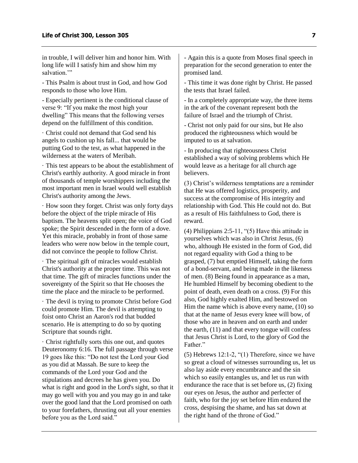in trouble, I will deliver him and honor him. With long life will I satisfy him and show him my salvation."

- This Psalm is about trust in God, and how God responds to those who love Him.

- Especially pertinent is the conditional clause of verse 9: "If you make the most high your dwelling" This means that the following verses depend on the fulfillment of this condition.

· Christ could not demand that God send his angels to cushion up his fall... that would be putting God to the test, as what happened in the wilderness at the waters of Meribah.

· This test appears to be about the establishment of Christ's earthly authority. A good miracle in front of thousands of temple worshippers including the most important men in Israel would well establish Christ's authority among the Jews.

· How soon they forget. Christ was only forty days before the object of the triple miracle of His baptism. The heavens split open; the voice of God spoke; the Spirit descended in the form of a dove. Yet this miracle, probably in front of those same leaders who were now below in the temple court, did not convince the people to follow Christ.

· The spiritual gift of miracles would establish Christ's authority at the proper time. This was not that time. The gift of miracles functions under the sovereignty of the Spirit so that He chooses the time the place and the miracle to be performed.

· The devil is trying to promote Christ before God could promote Him. The devil is attempting to foist onto Christ an Aaron's rod that budded scenario. He is attempting to do so by quoting Scripture that sounds right.

· Christ rightfully sorts this one out, and quotes Deuteronomy 6:16. The full passage through verse 19 goes like this: "Do not test the Lord your God as you did at Massah. Be sure to keep the commands of the Lord your God and the stipulations and decrees he has given you. Do what is right and good in the Lord's sight, so that it may go well with you and you may go in and take over the good land that the Lord promised on oath to your forefathers, thrusting out all your enemies before you as the Lord said."

- Again this is a quote from Moses final speech in preparation for the second generation to enter the promised land.

- This time it was done right by Christ. He passed the tests that Israel failed.

- In a completely appropriate way, the three items in the ark of the covenant represent both the failure of Israel and the triumph of Christ.

- Christ not only paid for our sins, but He also produced the righteousness which would be imputed to us at salvation.

- In producing that righteousness Christ established a way of solving problems which He would leave as a heritage for all church age believers.

(3) Christ's wilderness temptations are a reminder that He was offered logistics, prosperity, and success at the compromise of His integrity and relationship with God. This He could not do. But as a result of His faithfulness to God, there is reward.

(4) Philippians 2:5-11, "(5) Have this attitude in yourselves which was also in Christ Jesus, (6) who, although He existed in the form of God, did not regard equality with God a thing to be grasped, (7) but emptied Himself, taking the form of a bond-servant, and being made in the likeness of men. (8) Being found in appearance as a man, He humbled Himself by becoming obedient to the point of death, even death on a cross. (9) For this also, God highly exalted Him, and bestowed on Him the name which is above every name, (10) so that at the name of Jesus every knee will bow, of those who are in heaven and on earth and under the earth, (11) and that every tongue will confess that Jesus Christ is Lord, to the glory of God the Father"

 $(5)$  Hebrews 12:1-2, " $(1)$  Therefore, since we have so great a cloud of witnesses surrounding us, let us also lay aside every encumbrance and the sin which so easily entangles us, and let us run with endurance the race that is set before us, (2) fixing our eyes on Jesus, the author and perfecter of faith, who for the joy set before Him endured the cross, despising the shame, and has sat down at the right hand of the throne of God."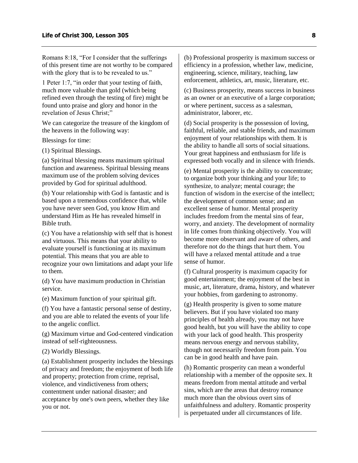Romans 8:18, "For I consider that the sufferings of this present time are not worthy to be compared with the glory that is to be revealed to us."

1 Peter 1:7, "in order that your testing of faith, much more valuable than gold (which being refined even through the testing of fire) might be found unto praise and glory and honor in the revelation of Jesus Christ;"

We can categorize the treasure of the kingdom of the heavens in the following way:

Blessings for time:

(1) Spiritual Blessings.

(a) Spiritual blessing means maximum spiritual function and awareness. Spiritual blessing means maximum use of the problem solving devices provided by God for spiritual adulthood.

(b) Your relationship with God is fantastic and is based upon a tremendous confidence that, while you have never seen God, you know Him and understand Him as He has revealed himself in Bible truth.

(c) You have a relationship with self that is honest and virtuous. This means that your ability to evaluate yourself is functioning at its maximum potential. This means that you are able to recognize your own limitations and adapt your life to them.

(d) You have maximum production in Christian service.

(e) Maximum function of your spiritual gift.

(f) You have a fantastic personal sense of destiny, and you are able to related the events of your life to the angelic conflict.

(g) Maximum virtue and God-centered vindication instead of self-righteousness.

(2) Worldly Blessings.

(a) Establishment prosperity includes the blessings of privacy and freedom; the enjoyment of both life and property; protection from crime, reprisal, violence, and vindictiveness from others; contentment under national disaster; and acceptance by one's own peers, whether they like you or not.

(b) Professional prosperity is maximum success or efficiency in a profession, whether law, medicine, engineering, science, military, teaching, law enforcement, athletics, art, music, literature, etc.

(c) Business prosperity, means success in business as an owner or an executive of a large corporation; or where pertinent, success as a salesman, administrator, laborer, etc.

(d) Social prosperity is the possession of loving, faithful, reliable, and stable friends, and maximum enjoyment of your relationships with them. It is the ability to handle all sorts of social situations. Your great happiness and enthusiasm for life is expressed both vocally and in silence with friends.

(e) Mental prosperity is the ability to concentrate; to organize both your thinking and your life; to synthesize, to analyze; mental courage; the function of wisdom in the exercise of the intellect; the development of common sense; and an excellent sense of humor. Mental prosperity includes freedom from the mental sins of fear, worry, and anxiety. The development of normality in life comes from thinking objectively. You will become more observant and aware of others, and therefore not do the things that hurt them. You will have a relaxed mental attitude and a true sense of humor.

(f) Cultural prosperity is maximum capacity for good entertainment; the enjoyment of the best in music, art, literature, drama, history, and whatever your hobbies, from gardening to astronomy.

(g) Health prosperity is given to some mature believers. But if you have violated too many principles of health already, you may not have good health, but you will have the ability to cope with your lack of good health. This prosperity means nervous energy and nervous stability, though not necessarily freedom from pain. You can be in good health and have pain.

(h) Romantic prosperity can mean a wonderful relationship with a member of the opposite sex. It means freedom from mental attitude and verbal sins, which are the areas that destroy romance much more than the obvious overt sins of unfaithfulness and adultery. Romantic prosperity is perpetuated under all circumstances of life.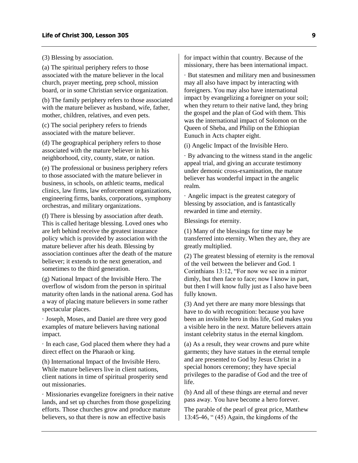(3) Blessing by association.

(a) The spiritual periphery refers to those associated with the mature believer in the local church, prayer meeting, prep school, mission board, or in some Christian service organization.

(b) The family periphery refers to those associated with the mature believer as husband, wife, father, mother, children, relatives, and even pets.

(c) The social periphery refers to friends associated with the mature believer.

(d) The geographical periphery refers to those associated with the mature believer in his neighborhood, city, county, state, or nation.

(e) The professional or business periphery refers to those associated with the mature believer in business, in schools, on athletic teams, medical clinics, law firms, law enforcement organizations, engineering firms, banks, corporations, symphony orchestras, and military organizations.

(f) There is blessing by association after death. This is called heritage blessing. Loved ones who are left behind receive the greatest insurance policy which is provided by association with the mature believer after his death. Blessing by association continues after the death of the mature believer; it extends to the next generation, and sometimes to the third generation.

(g) National Impact of the Invisible Hero. The overflow of wisdom from the person in spiritual maturity often lands in the national arena. God has a way of placing mature believers in some rather spectacular places.

· Joseph, Moses, and Daniel are three very good examples of mature believers having national impact.

· In each case, God placed them where they had a direct effect on the Pharaoh or king.

(h) International Impact of the Invisible Hero. While mature believers live in client nations, client nations in time of spiritual prosperity send out missionaries.

· Missionaries evangelize foreigners in their native lands, and set up churches from those gospelizing efforts. Those churches grow and produce mature believers, so that there is now an effective basis

for impact within that country. Because of the missionary, there has been international impact.

· But statesmen and military men and businessmen may all also have impact by interacting with foreigners. You may also have international impact by evangelizing a foreigner on your soil; when they return to their native land, they bring the gospel and the plan of God with them. This was the international impact of Solomon on the Queen of Sheba, and Philip on the Ethiopian Eunuch in Acts chapter eight.

(i) Angelic Impact of the Invisible Hero.

· By advancing to the witness stand in the angelic appeal trial, and giving an accurate testimony under demonic cross-examination, the mature believer has wonderful impact in the angelic realm.

· Angelic impact is the greatest category of blessing by association, and is fantastically rewarded in time and eternity.

Blessings for eternity.

(1) Many of the blessings for time may be transferred into eternity. When they are, they are greatly multiplied.

(2) The greatest blessing of eternity is the removal of the veil between the believer and God. 1 Corinthians 13:12, "For now we see in a mirror dimly, but then face to face; now I know in part, but then I will know fully just as I also have been fully known.

(3) And yet there are many more blessings that have to do with recognition: because you have been an invisible hero in this life, God makes you a visible hero in the next. Mature believers attain instant celebrity status in the eternal kingdom.

(a) As a result, they wear crowns and pure white garments; they have statues in the eternal temple and are presented to God by Jesus Christ in a special honors ceremony; they have special privileges to the paradise of God and the tree of life.

(b) And all of these things are eternal and never pass away. You have become a hero forever.

The parable of the pearl of great price, Matthew 13:45-46, " (45) Again, the kingdoms of the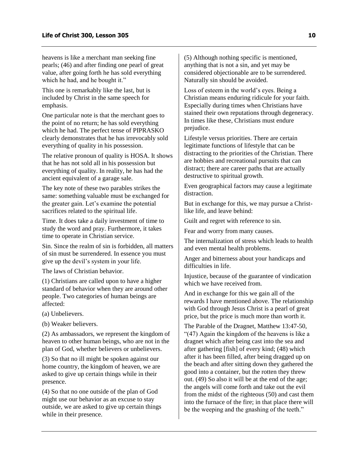heavens is like a merchant man seeking fine pearls; (46) and after finding one pearl of great value, after going forth he has sold everything which he had, and he bought it."

This one is remarkably like the last, but is included by Christ in the same speech for emphasis.

One particular note is that the merchant goes to the point of no return; he has sold everything which he had. The perfect tense of PIPRASKO clearly demonstrates that he has irrevocably sold everything of quality in his possession.

The relative pronoun of quality is HOSA. It shows that he has not sold all in his possession but everything of quality. In reality, he has had the ancient equivalent of a garage sale.

The key note of these two parables strikes the same: something valuable must be exchanged for the greater gain. Let's examine the potential sacrifices related to the spiritual life.

Time. It does take a daily investment of time to study the word and pray. Furthermore, it takes time to operate in Christian service.

Sin. Since the realm of sin is forbidden, all matters of sin must be surrendered. In essence you must give up the devil's system in your life.

The laws of Christian behavior.

(1) Christians are called upon to have a higher standard of behavior when they are around other people. Two categories of human beings are affected:

- (a) Unbelievers.
- (b) Weaker believers.

(2) As ambassadors, we represent the kingdom of heaven to other human beings, who are not in the plan of God, whether believers or unbelievers.

(3) So that no ill might be spoken against our home country, the kingdom of heaven, we are asked to give up certain things while in their presence.

(4) So that no one outside of the plan of God might use our behavior as an excuse to stay outside, we are asked to give up certain things while in their presence.

(5) Although nothing specific is mentioned, anything that is not a sin, and yet may be considered objectionable are to be surrendered. Naturally sin should be avoided.

Loss of esteem in the world's eyes. Being a Christian means enduring ridicule for your faith. Especially during times when Christians have stained their own reputations through degeneracy. In times like these, Christians must endure prejudice.

Lifestyle versus priorities. There are certain legitimate functions of lifestyle that can be distracting to the priorities of the Christian. There are hobbies and recreational pursuits that can distract; there are career paths that are actually destructive to spiritual growth.

Even geographical factors may cause a legitimate distraction.

But in exchange for this, we may pursue a Christlike life, and leave behind:

Guilt and regret with reference to sin.

Fear and worry from many causes.

The internalization of stress which leads to health and even mental health problems.

Anger and bitterness about your handicaps and difficulties in life.

Injustice, because of the guarantee of vindication which we have received from.

And in exchange for this we gain all of the rewards I have mentioned above. The relationship with God through Jesus Christ is a pearl of great price, but the price is much more than worth it.

The Parable of the Dragnet, Matthew 13:47-50, "(47) Again the kingdom of the heavens is like a dragnet which after being cast into the sea and after gathering [fish] of every kind; (48) which after it has been filled, after being dragged up on the beach and after sitting down they gathered the good into a container, but the rotten they threw out. (49) So also it will be at the end of the age; the angels will come forth and take out the evil from the midst of the righteous (50) and cast them into the furnace of the fire; in that place there will be the weeping and the gnashing of the teeth."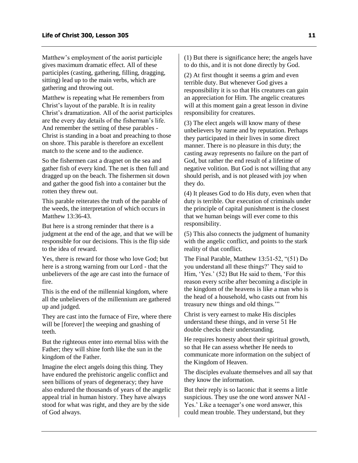Matthew's employment of the aorist participle gives maximum dramatic effect. All of these participles (casting, gathering, filling, dragging, sitting) lead up to the main verbs, which are gathering and throwing out.

Matthew is repeating what He remembers from Christ's layout of the parable. It is in reality Christ's dramatization. All of the aorist participles are the every day details of the fisherman's life. And remember the setting of these parables - Christ is standing in a boat and preaching to those on shore. This parable is therefore an excellent match to the scene and to the audience.

So the fishermen cast a dragnet on the sea and gather fish of every kind. The net is then full and dragged up on the beach. The fishermen sit down and gather the good fish into a container but the rotten they threw out.

This parable reiterates the truth of the parable of the weeds, the interpretation of which occurs in Matthew 13:36-43.

But here is a strong reminder that there is a judgment at the end of the age, and that we will be responsible for our decisions. This is the flip side to the idea of reward.

Yes, there is reward for those who love God; but here is a strong warning from our Lord - that the unbelievers of the age are cast into the furnace of fire.

This is the end of the millennial kingdom, where all the unbelievers of the millennium are gathered up and judged.

They are cast into the furnace of Fire, where there will be [forever] the weeping and gnashing of teeth.

But the righteous enter into eternal bliss with the Father; they will shine forth like the sun in the kingdom of the Father.

Imagine the elect angels doing this thing. They have endured the prehistoric angelic conflict and seen billions of years of degeneracy; they have also endured the thousands of years of the angelic appeal trial in human history. They have always stood for what was right, and they are by the side of God always.

(1) But there is significance here; the angels have to do this, and it is not done directly by God.

(2) At first thought it seems a grim and even terrible duty. But whenever God gives a responsibility it is so that His creatures can gain an appreciation for Him. The angelic creatures will at this moment gain a great lesson in divine responsibility for creatures.

(3) The elect angels will know many of these unbelievers by name and by reputation. Perhaps they participated in their lives in some direct manner. There is no pleasure in this duty; the casting away represents no failure on the part of God, but rather the end result of a lifetime of negative volition. But God is not willing that any should perish, and is not pleased with joy when they do.

(4) It pleases God to do His duty, even when that duty is terrible. Our execution of criminals under the principle of capital punishment is the closest that we human beings will ever come to this responsibility.

(5) This also connects the judgment of humanity with the angelic conflict, and points to the stark reality of that conflict.

The Final Parable, Matthew 13:51-52, "(51) Do you understand all these things?' They said to Him, 'Yes.' (52) But He said to them, 'For this reason every scribe after becoming a disciple in the kingdom of the heavens is like a man who is the head of a household, who casts out from his treasury new things and old things.'"

Christ is very earnest to make His disciples understand these things, and in verse 51 He double checks their understanding.

He requires honesty about their spiritual growth, so that He can assess whether He needs to communicate more information on the subject of the Kingdom of Heaven.

The disciples evaluate themselves and all say that they know the information.

But their reply is so laconic that it seems a little suspicious. They use the one word answer NAI - Yes.' Like a teenager's one word answer, this could mean trouble. They understand, but they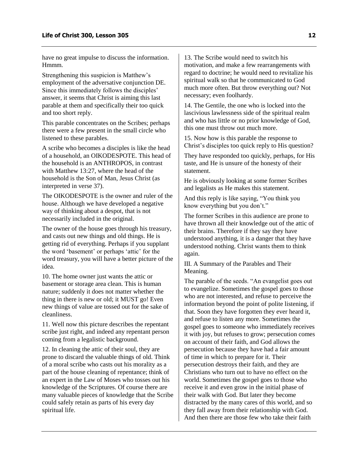have no great impulse to discuss the information. Hmmm.

Strengthening this suspicion is Matthew's employment of the adversative conjunction DE. Since this immediately follows the disciples' answer, it seems that Christ is aiming this last parable at them and specifically their too quick and too short reply.

This parable concentrates on the Scribes; perhaps there were a few present in the small circle who listened to these parables.

A scribe who becomes a disciples is like the head of a household, an OIKODESPOTE. This head of the household is an ANTHROPOS, in contrast with Matthew 13:27, where the head of the household is the Son of Man, Jesus Christ (as interpreted in verse 37).

The OIKODESPOTE is the owner and ruler of the house. Although we have developed a negative way of thinking about a despot, that is not necessarily included in the original.

The owner of the house goes through his treasury, and casts out new things and old things. He is getting rid of everything. Perhaps if you supplant the word 'basement' or perhaps 'attic' for the word treasury, you will have a better picture of the idea.

10. The home owner just wants the attic or basement or storage area clean. This is human nature; suddenly it does not matter whether the thing in there is new or old; it MUST go! Even new things of value are tossed out for the sake of cleanliness.

11. Well now this picture describes the repentant scribe just right, and indeed any repentant person coming from a legalistic background.

12. In cleaning the attic of their soul, they are prone to discard the valuable things of old. Think of a moral scribe who casts out his morality as a part of the house cleaning of repentance; think of an expert in the Law of Moses who tosses out his knowledge of the Scriptures. Of course there are many valuable pieces of knowledge that the Scribe could safely retain as parts of his every day spiritual life.

13. The Scribe would need to switch his motivation, and make a few rearrangements with regard to doctrine; he would need to revitalize his spiritual walk so that he communicated to God much more often. But throw everything out? Not necessary; even foolhardy.

14. The Gentile, the one who is locked into the lascivious lawlessness side of the spiritual realm and who has little or no prior knowledge of God, this one must throw out much more.

15. Now how is this parable the response to Christ's disciples too quick reply to His question?

They have responded too quickly, perhaps, for His taste, and He is unsure of the honesty of their statement.

He is obviously looking at some former Scribes and legalists as He makes this statement.

And this reply is like saying, "You think you know everything but you don't."

The former Scribes in this audience are prone to have thrown all their knowledge out of the attic of their brains. Therefore if they say they have understood anything, it is a danger that they have understood nothing. Christ wants them to think again.

III. A Summary of the Parables and Their Meaning.

The parable of the seeds. "An evangelist goes out to evangelize. Sometimes the gospel goes to those who are not interested, and refuse to perceive the information beyond the point of polite listening, if that. Soon they have forgotten they ever heard it, and refuse to listen any more. Sometimes the gospel goes to someone who immediately receives it with joy, but refuses to grow; persecution comes on account of their faith, and God allows the persecution because they have had a fair amount of time in which to prepare for it. Their persecution destroys their faith, and they are Christians who turn out to have no effect on the world. Sometimes the gospel goes to those who receive it and even grow in the initial phase of their walk with God. But later they become distracted by the many cares of this world, and so they fall away from their relationship with God. And then there are those few who take their faith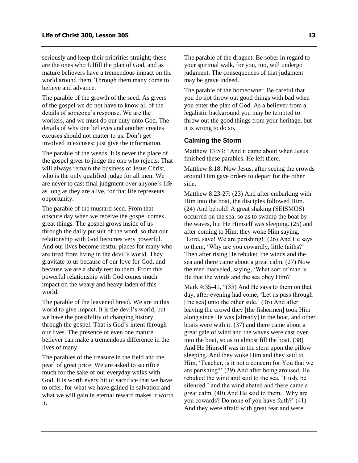seriously and keep their priorities straight; these are the ones who fulfill the plan of God, and as mature believers have a tremendous impact on the world around them. Through them many come to believe and advance.

The parable of the growth of the seed. As givers of the gospel we do not have to know all of the details of someone's response. We are the workers, and we must do our duty unto God. The details of why one believes and another creates excuses should not matter to us. Don't get involved in excuses; just give the information.

The parable of the weeds. It is never the place of the gospel giver to judge the one who rejects. That will always remain the business of Jesus Christ, who is the only qualified judge for all men. We are never to cast final judgment over anyone's life as long as they are alive, for that life represents opportunity.

The parable of the mustard seed. From that obscure day when we receive the gospel comes great things. The gospel grows inside of us through the daily pursuit of the word, so that our relationship with God becomes very powerful. And our lives become restful places for many who are tired from living in the devil's world. They gravitate to us because of our love for God, and because we are a shady rest to them. From this powerful relationship with God comes much impact on the weary and heavy-laden of this world.

The parable of the leavened bread. We are in this world to give impact. It is the devil's world, but we have the possibility of changing history through the gospel. That is God's intent through our lives. The presence of even one mature believer can make a tremendous difference in the lives of many.

The parables of the treasure in the field and the pearl of great price. We are asked to sacrifice much for the sake of our everyday walks with God. It is worth every bit of sacrifice that we have to offer, for what we have gained in salvation and what we will gain in eternal reward makes it worth it.

The parable of the dragnet. Be sober in regard to your spiritual walk, for you, too, will undergo judgment. The consequences of that judgment may be grave indeed.

The parable of the homeowner. Be careful that you do not throw out good things with bad when you enter the plan of God. As a believer from a legalistic background you may be tempted to throw out the good things from your heritage, but it is wrong to do so.

#### <span id="page-14-0"></span>**Calming the Storm**

Matthew 13:53: "And it came about when Jesus finished these parables, He left there.

Matthew 8:18: Now Jesus, after seeing the crowds around Him gave orders to depart for the other side.

Matthew 8:23-27: (23) And after embarking with Him into the boat, the disciples followed Him. (24) And behold! A great shaking (SEISMOS) occurred on the sea, so as to swamp the boat by the waves, but He Himself was sleeping. (25) and after coming to Him, they woke Him saying, 'Lord, save! We are perishing!' (26) And He says to them, 'Why are you cowardly, little faiths?' Then after rising He rebuked the winds and the sea and there came about a great calm. (27) Now the men marveled, saying, 'What sort of man is He that the winds and the sea obey Him?'

Mark 4:35-41, "(35) And He says to them on that day, after evening had come, 'Let us pass through [the sea] unto the other side.' (36) And after leaving the crowd they [the fishermen] took Him along since He was [already] in the boat, and other boats were with it. (37) and there came about a great gale of wind and the waves were cast over into the boat, so as to almost fill the boat. (38) And He Himself was in the stern upon the pillow sleeping. And they woke Him and they said to Him, 'Teacher, is it not a concern for You that we are perishing?' (39) And after being aroused, He rebuked the wind and said to the sea, 'Hush, be silenced.' and the wind abated and there came a great calm. (40) And He said to them, 'Why are you cowards? Do none of you have faith?' (41) And they were afraid with great fear and were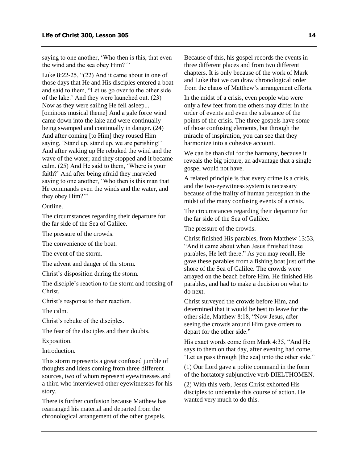saying to one another, 'Who then is this, that even the wind and the sea obey Him?'"

Luke 8:22-25, "(22) And it came about in one of those days that He and His disciples entered a boat and said to them, "Let us go over to the other side of the lake.' And they were launched out. (23) Now as they were sailing He fell asleep... [ominous musical theme] And a gale force wind came down into the lake and were continually being swamped and continually in danger. (24) And after coming [to Him] they roused Him saying, 'Stand up, stand up, we are perishing!' And after waking up He rebuked the wind and the wave of the water; and they stopped and it became calm. (25) And He said to them, 'Where is your faith?' And after being afraid they marveled saying to one another, 'Who then is this man that He commands even the winds and the water, and they obey Him?'"

Outline.

The circumstances regarding their departure for the far side of the Sea of Galilee.

The pressure of the crowds.

The convenience of the boat.

The event of the storm.

The advent and danger of the storm.

Christ's disposition during the storm.

The disciple's reaction to the storm and rousing of Christ.

Christ's response to their reaction.

The calm.

Christ's rebuke of the disciples.

The fear of the disciples and their doubts.

Exposition.

Introduction.

This storm represents a great confused jumble of thoughts and ideas coming from three different sources, two of whom represent eyewitnesses and a third who interviewed other eyewitnesses for his story.

There is further confusion because Matthew has rearranged his material and departed from the chronological arrangement of the other gospels.

Because of this, his gospel records the events in three different places and from two different chapters. It is only because of the work of Mark and Luke that we can draw chronological order from the chaos of Matthew's arrangement efforts.

In the midst of a crisis, even people who were only a few feet from the others may differ in the order of events and even the substance of the points of the crisis. The three gospels have some of those confusing elements, but through the miracle of inspiration, you can see that they harmonize into a cohesive account.

We can be thankful for the harmony, because it reveals the big picture, an advantage that a single gospel would not have.

A related principle is that every crime is a crisis, and the two-eyewitness system is necessary because of the frailty of human perception in the midst of the many confusing events of a crisis.

The circumstances regarding their departure for the far side of the Sea of Galilee.

The pressure of the crowds.

Christ finished His parables, from Matthew 13:53, "And it came about when Jesus finished these parables, He left there." As you may recall, He gave these parables from a fishing boat just off the shore of the Sea of Galilee. The crowds were arrayed on the beach before Him. He finished His parables, and had to make a decision on what to do next.

Christ surveyed the crowds before Him, and determined that it would be best to leave for the other side, Matthew 8:18, "Now Jesus, after seeing the crowds around Him gave orders to depart for the other side."

His exact words come from Mark 4:35, "And He says to them on that day, after evening had come, 'Let us pass through [the sea] unto the other side."

(1) Our Lord gave a polite command in the form of the hortatory subjunctive verb DIELTHOMEN.

(2) With this verb, Jesus Christ exhorted His disciples to undertake this course of action. He wanted very much to do this.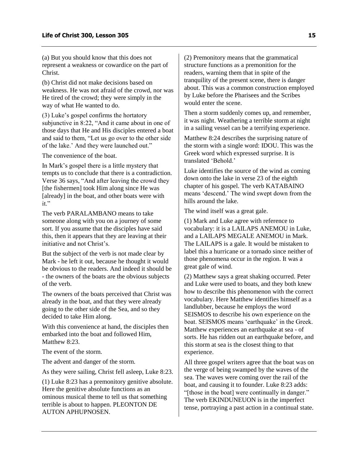(a) But you should know that this does not represent a weakness or cowardice on the part of Christ.

(b) Christ did not make decisions based on weakness. He was not afraid of the crowd, nor was He tired of the crowd; they were simply in the way of what He wanted to do.

(3) Luke's gospel confirms the hortatory subjunctive in 8:22, "And it came about in one of those days that He and His disciples entered a boat and said to them, "Let us go over to the other side of the lake.' And they were launched out."

The convenience of the boat.

In Mark's gospel there is a little mystery that tempts us to conclude that there is a contradiction. Verse 36 says, "And after leaving the crowd they [the fishermen] took Him along since He was [already] in the boat, and other boats were with it."

The verb PARALAMBANO means to take someone along with you on a journey of some sort. If you assume that the disciples have said this, then it appears that they are leaving at their initiative and not Christ's.

But the subject of the verb is not made clear by Mark - he left it out, because he thought it would be obvious to the readers. And indeed it should be - the owners of the boats are the obvious subjects of the verb.

The owners of the boats perceived that Christ was already in the boat, and that they were already going to the other side of the Sea, and so they decided to take Him along.

With this convenience at hand, the disciples then embarked into the boat and followed Him, Matthew 8.23

The event of the storm.

The advent and danger of the storm.

As they were sailing, Christ fell asleep, Luke 8:23.

(1) Luke 8:23 has a premonitory genitive absolute. Here the genitive absolute functions as an ominous musical theme to tell us that something terrible is about to happen. PLEONTON DE AUTON APHUPNOSEN.

(2) Premonitory means that the grammatical structure functions as a premonition for the readers, warning them that in spite of the tranquility of the present scene, there is danger about. This was a common construction employed by Luke before the Pharisees and the Scribes would enter the scene.

Then a storm suddenly comes up, and remember, it was night. Weathering a terrible storm at night in a sailing vessel can be a terrifying experience.

Matthew 8:24 describes the surprising nature of the storm with a single word: IDOU. This was the Greek word which expressed surprise. It is translated 'Behold.'

Luke identifies the source of the wind as coming down onto the lake in verse 23 of the eighth chapter of his gospel. The verb KATABAINO means 'descend.' The wind swept down from the hills around the lake.

The wind itself was a great gale.

(1) Mark and Luke agree with reference to vocabulary: it is a LAILAPS ANEMOU in Luke, and a LAILAPS MEGALE ANEMOU in Mark. The LAILAPS is a gale. It would be mistaken to label this a hurricane or a tornado since neither of those phenomena occur in the region. It was a great gale of wind.

(2) Matthew says a great shaking occurred. Peter and Luke were used to boats, and they both knew how to describe this phenomenon with the correct vocabulary. Here Matthew identifies himself as a landlubber, because he employs the word SEISMOS to describe his own experience on the boat. SEISMOS means 'earthquake' in the Greek. Matthew experiences an earthquake at sea - of sorts. He has ridden out an earthquake before, and this storm at sea is the closest thing to that experience.

All three gospel writers agree that the boat was on the verge of being swamped by the waves of the sea. The waves were coming over the rail of the boat, and causing it to founder. Luke 8:23 adds: "[those in the boat] were continually in danger." The verb EKINDUNEUON is in the imperfect tense, portraying a past action in a continual state.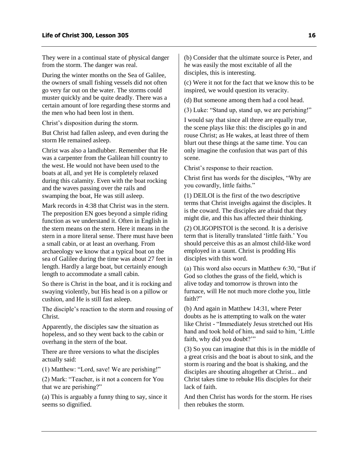They were in a continual state of physical danger from the storm. The danger was real.

During the winter months on the Sea of Galilee, the owners of small fishing vessels did not often go very far out on the water. The storms could muster quickly and be quite deadly. There was a certain amount of lore regarding these storms and the men who had been lost in them.

Christ's disposition during the storm.

But Christ had fallen asleep, and even during the storm He remained asleep.

Christ was also a landlubber. Remember that He was a carpenter from the Galilean hill country to the west. He would not have been used to the boats at all, and yet He is completely relaxed during this calamity. Even with the boat rocking and the waves passing over the rails and swamping the boat, He was still asleep.

Mark records in 4:38 that Christ was in the stern. The preposition EN goes beyond a simple riding function as we understand it. Often in English in the stern means on the stern. Here it means in the stern in a more literal sense. There must have been a small cabin, or at least an overhang. From archaeology we know that a typical boat on the sea of Galilee during the time was about 27 feet in length. Hardly a large boat, but certainly enough length to accommodate a small cabin.

So there is Christ in the boat, and it is rocking and swaying violently, but His head is on a pillow or cushion, and He is still fast asleep.

The disciple's reaction to the storm and rousing of Christ.

Apparently, the disciples saw the situation as hopeless, and so they went back to the cabin or overhang in the stern of the boat.

There are three versions to what the disciples actually said:

(1) Matthew: "Lord, save! We are perishing!"

(2) Mark: "Teacher, is it not a concern for You that we are perishing?"

(a) This is arguably a funny thing to say, since it seems so dignified.

(b) Consider that the ultimate source is Peter, and he was easily the most excitable of all the disciples, this is interesting.

(c) Were it not for the fact that we know this to be inspired, we would question its veracity.

(d) But someone among them had a cool head.

(3) Luke: "Stand up, stand up, we are perishing!"

I would say that since all three are equally true, the scene plays like this: the disciples go in and rouse Christ; as He wakes, at least three of them blurt out these things at the same time. You can only imagine the confusion that was part of this scene.

Christ's response to their reaction.

Christ first has words for the disciples, "Why are you cowardly, little faiths."

(1) DEILOI is the first of the two descriptive terms that Christ inveighs against the disciples. It is the coward. The disciples are afraid that they might die, and this has affected their thinking.

(2) OLIGOPISTOI is the second. It is a derisive term that is literally translated 'little faith.' You should perceive this as an almost child-like word employed in a taunt. Christ is prodding His disciples with this word.

(a) This word also occurs in Matthew 6:30, "But if God so clothes the grass of the field, which is alive today and tomorrow is thrown into the furnace, will He not much more clothe you, little faith?"

(b) And again in Matthew 14:31, where Peter doubts as he is attempting to walk on the water like Christ - "Immediately Jesus stretched out His hand and took hold of him, and said to him, 'Little faith, why did you doubt?"

(3) So you can imagine that this is in the middle of a great crisis and the boat is about to sink, and the storm is roaring and the boat is shaking, and the disciples are shouting altogether at Christ... and Christ takes time to rebuke His disciples for their lack of faith.

And then Christ has words for the storm. He rises then rebukes the storm.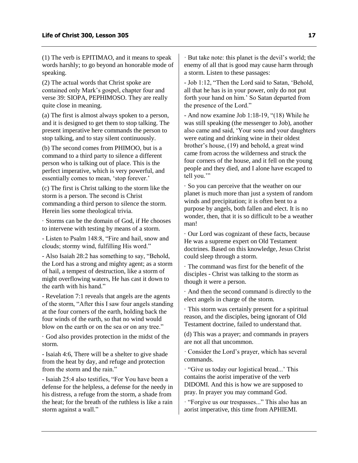(1) The verb is EPITIMAO, and it means to speak words harshly; to go beyond an honorable mode of speaking.

(2) The actual words that Christ spoke are contained only Mark's gospel, chapter four and verse 39: SIOPA, PEPHIMOSO. They are really quite close in meaning.

(a) The first is almost always spoken to a person, and it is designed to get them to stop talking. The present imperative here commands the person to stop talking, and to stay silent continuously.

(b) The second comes from PHIMOO, but is a command to a third party to silence a different person who is talking out of place. This is the perfect imperative, which is very powerful, and essentially comes to mean, 'stop forever.'

(c) The first is Christ talking to the storm like the storm is a person. The second is Christ commanding a third person to silence the storm. Herein lies some theological trivia.

· Storms can be the domain of God, if He chooses to intervene with testing by means of a storm.

- Listen to Psalm 148:8, "Fire and hail, snow and clouds; stormy wind, fulfilling His word."

- Also Isaiah 28:2 has something to say, "Behold, the Lord has a strong and mighty agent; as a storm of hail, a tempest of destruction, like a storm of might overflowing waters, He has cast it down to the earth with his hand."

- Revelation 7:1 reveals that angels are the agents of the storm, "After this I saw four angels standing at the four corners of the earth, holding back the four winds of the earth, so that no wind would blow on the earth or on the sea or on any tree."

· God also provides protection in the midst of the storm.

- Isaiah 4:6, There will be a shelter to give shade from the heat by day, and refuge and protection from the storm and the rain."

- Isaiah 25:4 also testifies, "For You have been a defense for the helpless, a defense for the needy in his distress, a refuge from the storm, a shade from the heat; for the breath of the ruthless is like a rain storm against a wall."

· But take note: this planet is the devil's world; the enemy of all that is good may cause harm through a storm. Listen to these passages:

- Job 1:12, "Then the Lord said to Satan, 'Behold, all that he has is in your power, only do not put forth your hand on him.' So Satan departed from the presence of the Lord."

- And now examine Job 1:18-19, "(18) While he was still speaking (the messenger to Job), another also came and said, 'Your sons and your daughters were eating and drinking wine in their oldest brother's house, (19) and behold, a great wind came from across the wilderness and struck the four corners of the house, and it fell on the young people and they died, and I alone have escaped to tell you.'"

· So you can perceive that the weather on our planet is much more than just a system of random winds and precipitation; it is often bent to a purpose by angels, both fallen and elect. It is no wonder, then, that it is so difficult to be a weather man!

· Our Lord was cognizant of these facts, because He was a supreme expert on Old Testament doctrines. Based on this knowledge, Jesus Christ could sleep through a storm.

· The command was first for the benefit of the disciples - Christ was talking to the storm as though it were a person.

· And then the second command is directly to the elect angels in charge of the storm.

· This storm was certainly present for a spiritual reason, and the disciples, being ignorant of Old Testament doctrine, failed to understand that.

(d) This was a prayer; and commands in prayers are not all that uncommon.

· Consider the Lord's prayer, which has several commands.

· "Give us today our logistical bread...' This contains the aorist imperative of the verb DIDOMI. And this is how we are supposed to pray. In prayer you may command God.

· "Forgive us our trespasses..." This also has an aorist imperative, this time from APHIEMI.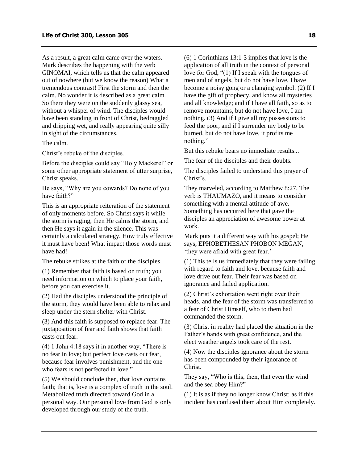As a result, a great calm came over the waters. Mark describes the happening with the verb GINOMAI, which tells us that the calm appeared out of nowhere (but we know the reason) What a tremendous contrast! First the storm and then the calm. No wonder it is described as a great calm. So there they were on the suddenly glassy sea, without a whisper of wind. The disciples would have been standing in front of Christ, bedraggled and dripping wet, and really appearing quite silly in sight of the circumstances.

#### The calm.

Christ's rebuke of the disciples.

Before the disciples could say "Holy Mackerel" or some other appropriate statement of utter surprise, Christ speaks.

He says, "Why are you cowards? Do none of you have faith?"

This is an appropriate reiteration of the statement of only moments before. So Christ says it while the storm is raging, then He calms the storm, and then He says it again in the silence. This was certainly a calculated strategy. How truly effective it must have been! What impact those words must have had!

The rebuke strikes at the faith of the disciples.

(1) Remember that faith is based on truth; you need information on which to place your faith, before you can exercise it.

(2) Had the disciples understood the principle of the storm, they would have been able to relax and sleep under the stern shelter with Christ.

(3) And this faith is supposed to replace fear. The juxtaposition of fear and faith shows that faith casts out fear.

(4) 1 John 4:18 says it in another way, "There is no fear in love; but perfect love casts out fear, because fear involves punishment, and the one who fears is not perfected in love."

(5) We should conclude then, that love contains faith; that is, love is a complex of truth in the soul. Metabolized truth directed toward God in a personal way. Our personal love from God is only developed through our study of the truth.

(6) 1 Corinthians 13:1-3 implies that love is the application of all truth in the context of personal love for God, "(1) If I speak with the tongues of men and of angels, but do not have love, I have become a noisy gong or a clanging symbol. (2) If I have the gift of prophecy, and know all mysteries and all knowledge; and if I have all faith, so as to remove mountains, but do not have love, I am nothing. (3) And if I give all my possessions to feed the poor, and if I surrender my body to be burned, but do not have love, it profits me nothing."

But this rebuke bears no immediate results...

The fear of the disciples and their doubts.

The disciples failed to understand this prayer of Christ's.

They marveled, according to Matthew 8:27. The verb is THAUMAZO, and it means to consider something with a mental attitude of awe. Something has occurred here that gave the disciples an appreciation of awesome power at work.

Mark puts it a different way with his gospel; He says, EPHOBETHESAN PHOBON MEGAN, 'they were afraid with great fear.'

(1) This tells us immediately that they were failing with regard to faith and love, because faith and love drive out fear. Their fear was based on ignorance and failed application.

(2) Christ's exhortation went right over their heads, and the fear of the storm was transferred to a fear of Christ Himself, who to them had commanded the storm.

(3) Christ in reality had placed the situation in the Father's hands with great confidence, and the elect weather angels took care of the rest.

(4) Now the disciples ignorance about the storm has been compounded by their ignorance of Christ.

They say, "Who is this, then, that even the wind and the sea obey Him?"

(1) It is as if they no longer know Christ; as if this incident has confused them about Him completely.